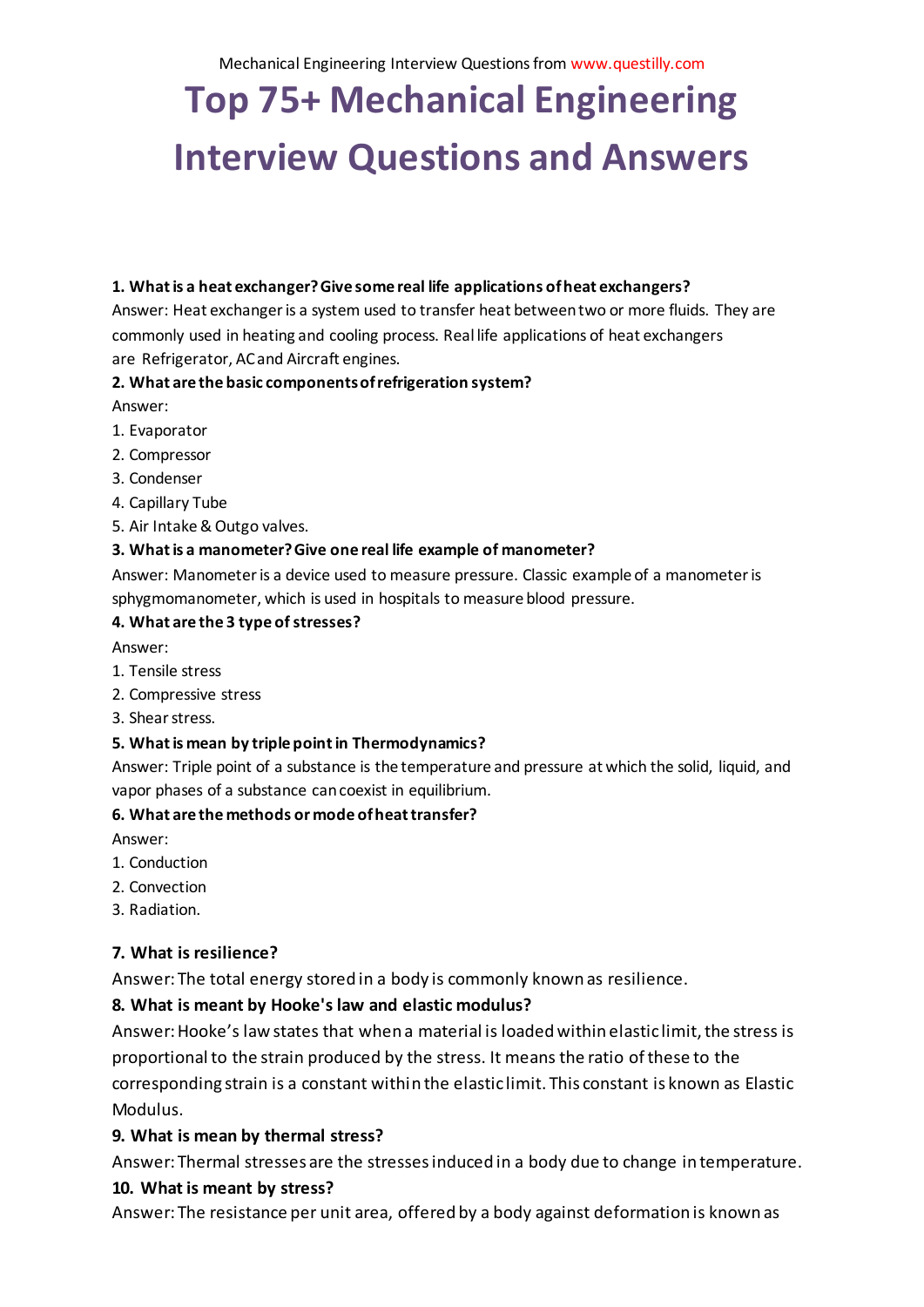# **Top 75+ Mechanical Engineering Interview Questions and Answers**

#### **1. What is a heat exchanger? Give some real life applications of heat exchangers?**

Answer: Heat exchanger is a system used to transfer heat between two or more fluids. They are commonly used in heating and cooling process. Real life applications of heat exchangers are Refrigerator, AC and Aircraft engines.

#### **2. What are the basic components of refrigeration system?**

#### Answer:

- 1. Evaporator
- 2. Compressor
- 3. Condenser
- 4. Capillary Tube
- 5. Air Intake& Outgo valves.

#### **3. What is a manometer? Give one real life example of manometer?**

Answer: Manometer is a device used to measure pressure. Classic example of a manometer is sphygmomanometer, which is used in hospitals to measure blood pressure.

#### **4. What are the 3 type of stresses?**

Answer:

- 1. Tensile stress
- 2. Compressive stress
- 3. Shear stress.

#### **5. What is mean by triple point in Thermodynamics?**

Answer: Triple point of a substance is the temperature and pressure at which the solid, liquid, and vapor phases of a substance can coexist in equilibrium.

#### **6. What are the methods or mode of heat transfer?**

Answer:

- 1. Conduction
- 2. Convection
- 3. Radiation.

#### **7. What is resilience?**

Answer: The total energy stored in a body is commonly known as resilience.

#### **8. What is meant by Hooke's law and elastic modulus?**

Answer: Hooke's law states that when a material is loaded within elastic limit, the stress is proportional to the strain produced by the stress. It means the ratio of these to the corresponding strain is a constant within the elastic limit. This constant is known as Elastic Modulus.

#### **9. What is mean by thermal stress?**

Answer: Thermal stresses are the stresses induced in a body due to change in temperature.

#### **10. What is meant by stress?**

Answer: The resistance per unit area, offered by a body against deformation is known as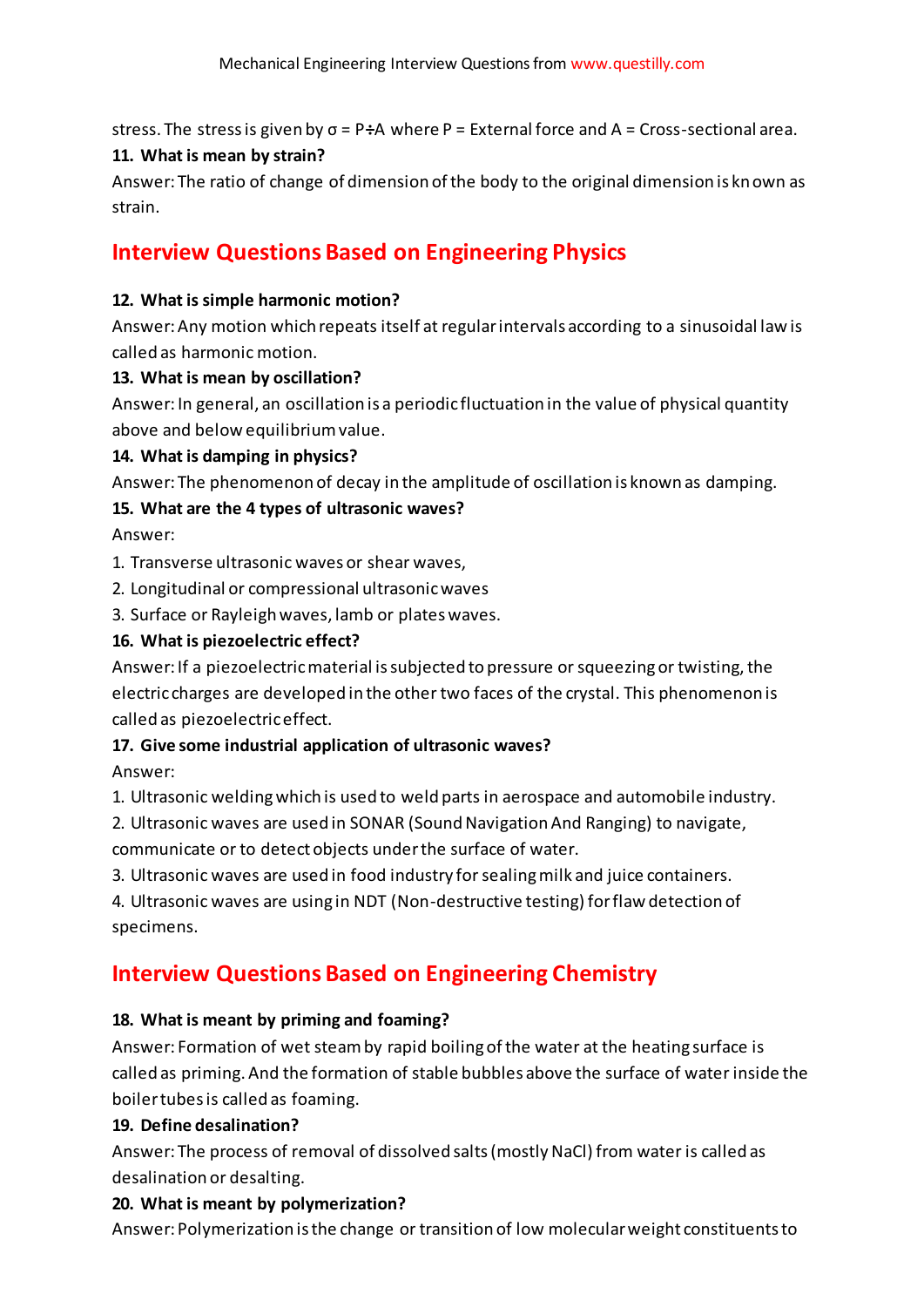stress. The stress is given by σ = P**÷**A where P = External force and A = Cross-sectional area.

## **11. What is mean by strain?**

Answer: The ratio of change of dimension of the body to the original dimension is known as strain.

# **Interview Questions Based on Engineering Physics**

## **12. What is simple harmonic motion?**

Answer: Any motion which repeats itself at regular intervals according to a sinusoidal law is called as harmonic motion.

## **13. What is mean by oscillation?**

Answer: In general, an oscillation is a periodic fluctuation in the value of physical quantity above and below equilibrium value.

## **14. What is damping in physics?**

Answer: The phenomenon of decay in the amplitude of oscillation is known as damping.

# **15. What are the 4 types of ultrasonic waves?**

Answer:

1. Transverse ultrasonic waves or shear waves,

2. Longitudinal or compressional ultrasonic waves

3. Surface or Rayleigh waves, lamb or plates waves.

## **16. What is piezoelectric effect?**

Answer: If a piezoelectric material is subjected to pressure or squeezing or twisting, the electric charges are developed in the other two faces of the crystal. This phenomenon is called as piezoelectric effect.

# **17. Give some industrial application of ultrasonic waves?**

Answer:

1. Ultrasonic welding which is used to weld parts in aerospace and automobile industry.

- 2. Ultrasonic waves are used in SONAR (Sound Navigation And Ranging) to navigate, communicate or to detect objects under the surface of water.
- 3. Ultrasonic waves are used in food industry for sealing milk and juice containers.

4. Ultrasonic waves are using in NDT (Non-destructive testing) for flaw detection of specimens.

# **Interview Questions Based on Engineering Chemistry**

# **18. What is meant by priming and foaming?**

Answer: Formation of wet steam by rapid boiling of the water at the heating surface is called as priming. And the formation of stable bubbles above the surface of water inside the boiler tubes is called as foaming.

# **19. Define desalination?**

Answer: The process of removal of dissolved salts (mostly NaCl) from water is called as desalination or desalting.

# **20. What is meant by polymerization?**

Answer: Polymerization is the change or transition of low molecular weight constituents to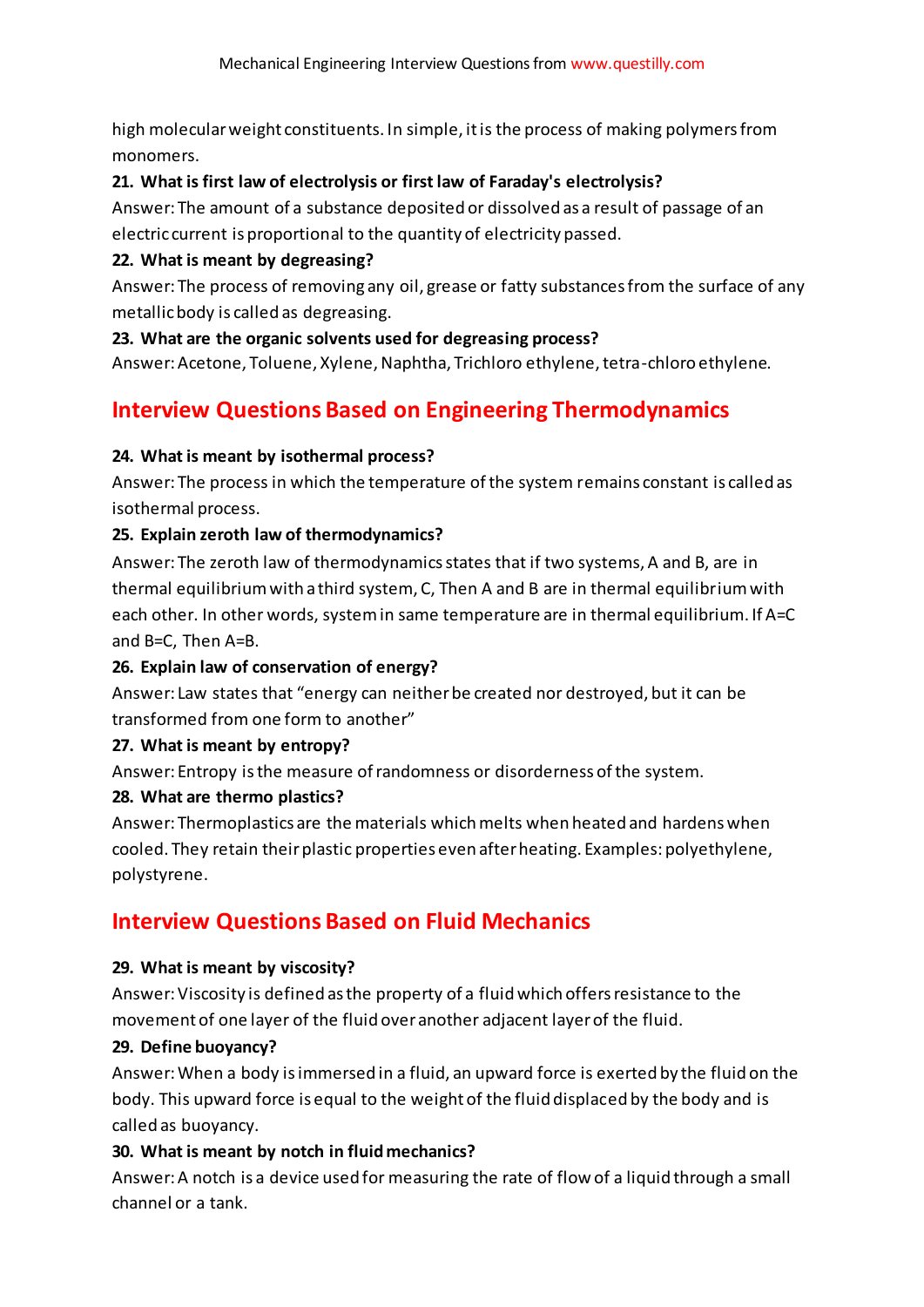high molecular weight constituents. In simple, it is the process of making polymers from monomers.

# **21. What is first law of electrolysis or first law of Faraday's electrolysis?**

Answer: The amount of a substance deposited or dissolved as a result of passage of an electric current is proportional to the quantity of electricity passed.

# **22. What is meant by degreasing?**

Answer: The process of removing any oil, grease or fatty substances from the surface of any metallic body is called as degreasing.

# **23. What are the organic solvents used for degreasing process?**

Answer: Acetone, Toluene, Xylene, Naphtha, Trichloro ethylene, tetra-chloro ethylene.

# **Interview Questions Based on Engineering Thermodynamics**

# **24. What is meant by isothermal process?**

Answer: The process in which the temperature of the system remains constant is called as isothermal process.

# **25. Explain zeroth law of thermodynamics?**

Answer: The zeroth law of thermodynamics states that if two systems, A and B, are in thermal equilibrium with a third system, C, Then A and B are in thermal equilibrium with each other. In other words, system in same temperature are in thermal equilibrium. If A=C and B=C, Then A=B.

# **26. Explain law of conservation of energy?**

Answer: Law states that "energy can neither be created nor destroyed, but it can be transformed from one form to another"

# **27. What is meant by entropy?**

Answer: Entropy is the measure of randomness or disorderness of the system.

# **28. What are thermo plastics?**

Answer: Thermoplastics are the materials which melts when heated and hardens when cooled. They retain their plastic properties even after heating. Examples: polyethylene, polystyrene.

# **Interview Questions Based on Fluid Mechanics**

# **29. What is meant by viscosity?**

Answer: Viscosity is defined as the property of a fluid which offers resistance to the movement of one layer of the fluid over another adjacent layer of the fluid.

# **29. Define buoyancy?**

Answer: When a body is immersed in a fluid, an upward force is exerted by the fluid on the body. This upward force is equal to the weight of the fluid displaced by the body and is called as buoyancy.

# **30. What is meant by notch in fluid mechanics?**

Answer: A notch is a device used for measuring the rate of flow of a liquid through a small channel or a tank.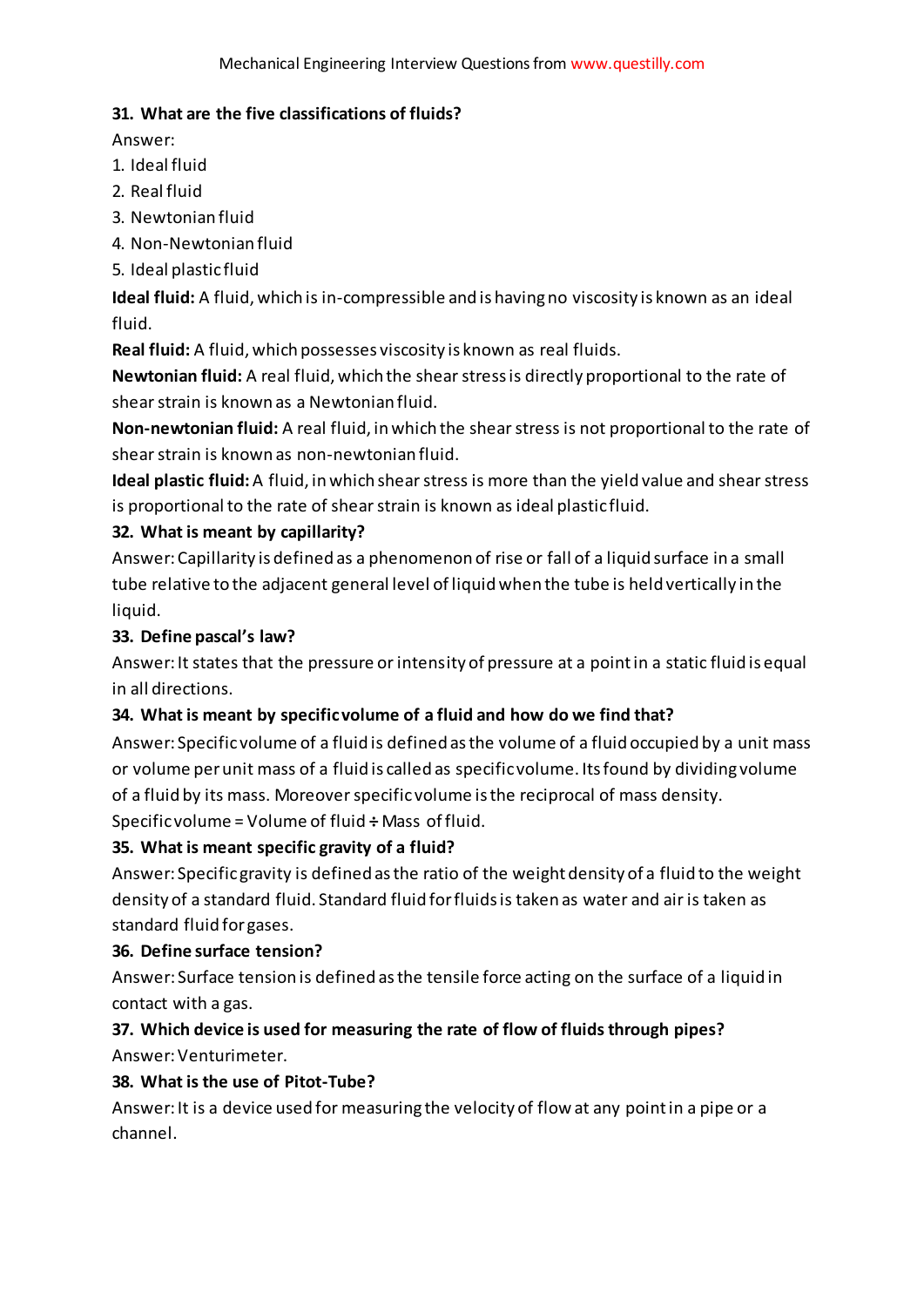## **31. What are the five classifications of fluids?**

Answer:

- 1. Ideal fluid
- 2. Real fluid
- 3. Newtonian fluid
- 4. Non-Newtonian fluid
- 5. Ideal plastic fluid

**Ideal fluid:** A fluid, which is in-compressible and is having no viscosity is known as an ideal fluid.

**Real fluid:** A fluid, which possesses viscosity is known as real fluids.

**Newtonian fluid:** A real fluid, which the shear stress is directly proportional to the rate of shear strain is known as a Newtonian fluid.

**Non-newtonian fluid:** A real fluid, in which the shear stress is not proportional to the rate of shear strain is known as non-newtonian fluid.

**Ideal plastic fluid:**A fluid, in which shear stress is more than the yield value and shear stress is proportional to the rate of shear strain is known as ideal plastic fluid.

# **32. What is meant by capillarity?**

Answer: Capillarity is defined as a phenomenon of rise or fall of a liquid surface in a small tube relative to the adjacent general level of liquid when the tube is held vertically in the liquid.

# **33. Define pascal's law?**

Answer: It states that the pressure or intensity of pressure at a point in a static fluid is equal in all directions.

# **34. What is meant by specific volume of a fluid and how do we find that?**

Answer: Specific volume of a fluid is defined as the volume of a fluid occupied by a unit mass or volume per unit mass of a fluid is called as specific volume. Its found by dividing volume of a fluid by its mass. Moreover specific volume is the reciprocal of mass density. Specific volume = Volume of fluid **÷** Mass of fluid.

# **35. What is meant specific gravity of a fluid?**

Answer: Specific gravity is defined as the ratio of the weight density of a fluid to the weight density of a standard fluid. Standard fluid for fluids is taken as water and air is taken as standard fluid for gases.

# **36. Define surface tension?**

Answer: Surface tension is defined as the tensile force acting on the surface of a liquid in contact with a gas.

# **37. Which device is used for measuring the rate of flow of fluids through pipes?** Answer: Venturimeter.

# **38. What is the use of Pitot-Tube?**

Answer: It is a device used for measuring the velocity of flow at any point in a pipe or a channel.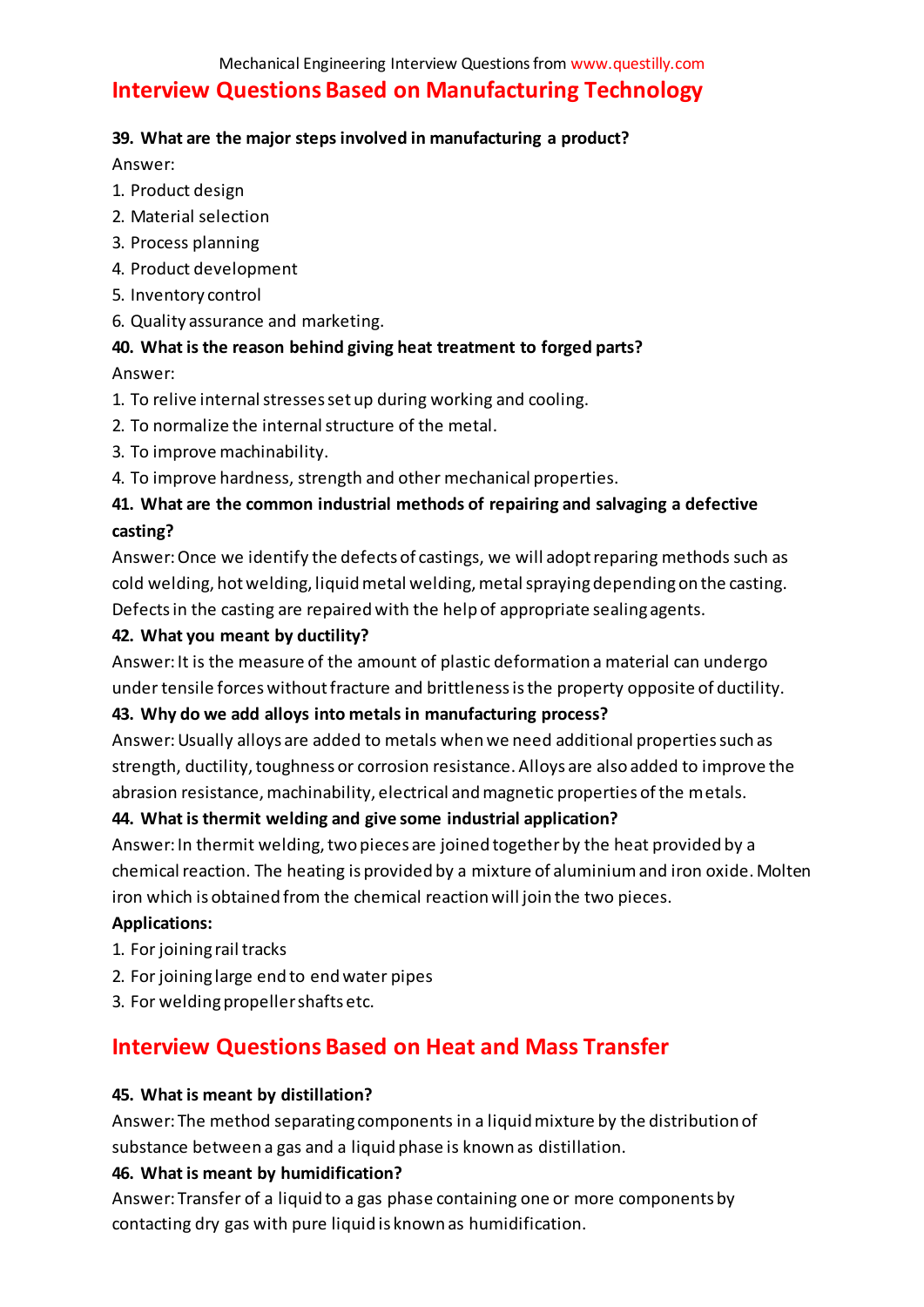# **Interview Questions Based on Manufacturing Technology**

#### **39. What are the major steps involved in manufacturing a product?**

Answer:

- 1. Product design
- 2. Material selection
- 3. Process planning
- 4. Product development
- 5. Inventory control
- 6. Quality assurance and marketing.

# **40. What is the reason behind giving heat treatment to forged parts?**

Answer:

- 1. To relive internal stresses set up during working and cooling.
- 2. To normalize the internal structure of the metal.
- 3. To improve machinability.
- 4. To improve hardness, strength and other mechanical properties.

# **41. What are the common industrial methods of repairing and salvaging a defective casting?**

Answer: Once we identify the defects of castings, we will adopt reparing methods such as cold welding, hot welding, liquid metal welding, metal spraying depending on the casting. Defects in the casting are repaired with the help of appropriate sealing agents.

## **42. What you meant by ductility?**

Answer: It is the measure of the amount of plastic deformation a material can undergo under tensile forces without fracture and brittleness is the property opposite of ductility.

# **43. Why do we add alloys into metals in manufacturing process?**

Answer: Usually alloys are added to metals when we need additional properties such as strength, ductility, toughness or corrosion resistance. Alloys are also added to improve the abrasion resistance, machinability, electrical and magnetic properties of the metals.

#### **44. What is thermit welding and give some industrial application?**

Answer: In thermit welding, two pieces are joined together by the heat provided by a chemical reaction. The heating is provided by a mixture of aluminium and iron oxide. Molten iron which is obtained from the chemical reaction will join the two pieces.

#### **Applications:**

- 1. For joining rail tracks
- 2. For joining large end to end water pipes
- 3. For welding propeller shafts etc.

# **Interview Questions Based on Heat and Mass Transfer**

#### **45. What is meant by distillation?**

Answer: The method separating components in a liquid mixture by the distribution of substance between a gas and a liquid phase is known as distillation.

# **46. What is meant by humidification?**

Answer: Transfer of a liquid to a gas phase containing one or more components by contacting dry gas with pure liquid is known as humidification.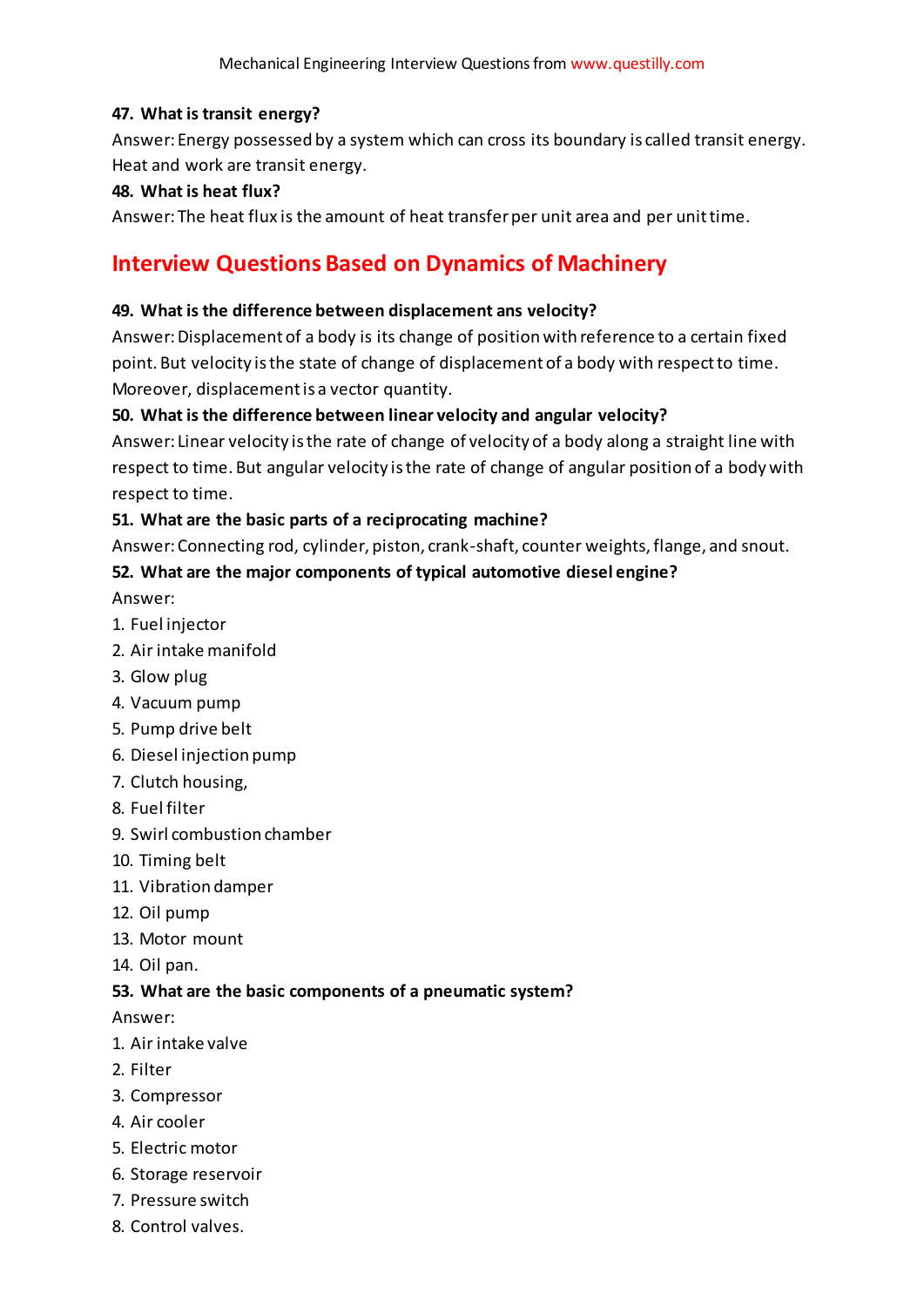## **47. What is transit energy?**

Answer: Energy possessed by a system which can cross its boundary is called transit energy. Heat and work are transit energy.

## **48. What is heat flux?**

Answer: The heat flux is the amount of heat transfer per unit area and per unit time.

# **Interview Questions Based on Dynamics of Machinery**

#### **49. What is the difference between displacement ans velocity?**

Answer: Displacement of a body is its change of position with reference to a certain fixed point. But velocity is the state of change of displacement of a body with respect to time. Moreover, displacement is a vector quantity.

# **50. What is the difference between linear velocity and angular velocity?**

Answer: Linear velocity is the rate of change of velocity of a body along a straight line with respect to time. But angular velocity is the rate of change of angular position of a body with respect to time.

## **51. What are the basic parts of a reciprocating machine?**

Answer: Connecting rod, cylinder, piston, crank-shaft, counter weights, flange, and snout.

## **52. What are the major components of typical automotive diesel engine?**

Answer:

- 1. Fuel injector
- 2. Air intake manifold
- 3. Glow plug
- 4. Vacuum pump
- 5. Pump drive belt
- 6. Diesel injection pump
- 7. Clutch housing,
- 8. Fuel filter
- 9. Swirl combustion chamber
- 10. Timing belt
- 11. Vibration damper
- 12. Oil pump
- 13. Motor mount
- 14. Oil pan.

#### **53. What are the basic components of a pneumatic system?**

Answer:

- 1. Air intake valve
- 2. Filter
- 3. Compressor
- 4. Air cooler
- 5. Electric motor
- 6. Storage reservoir
- 7. Pressure switch
- 8. Control valves.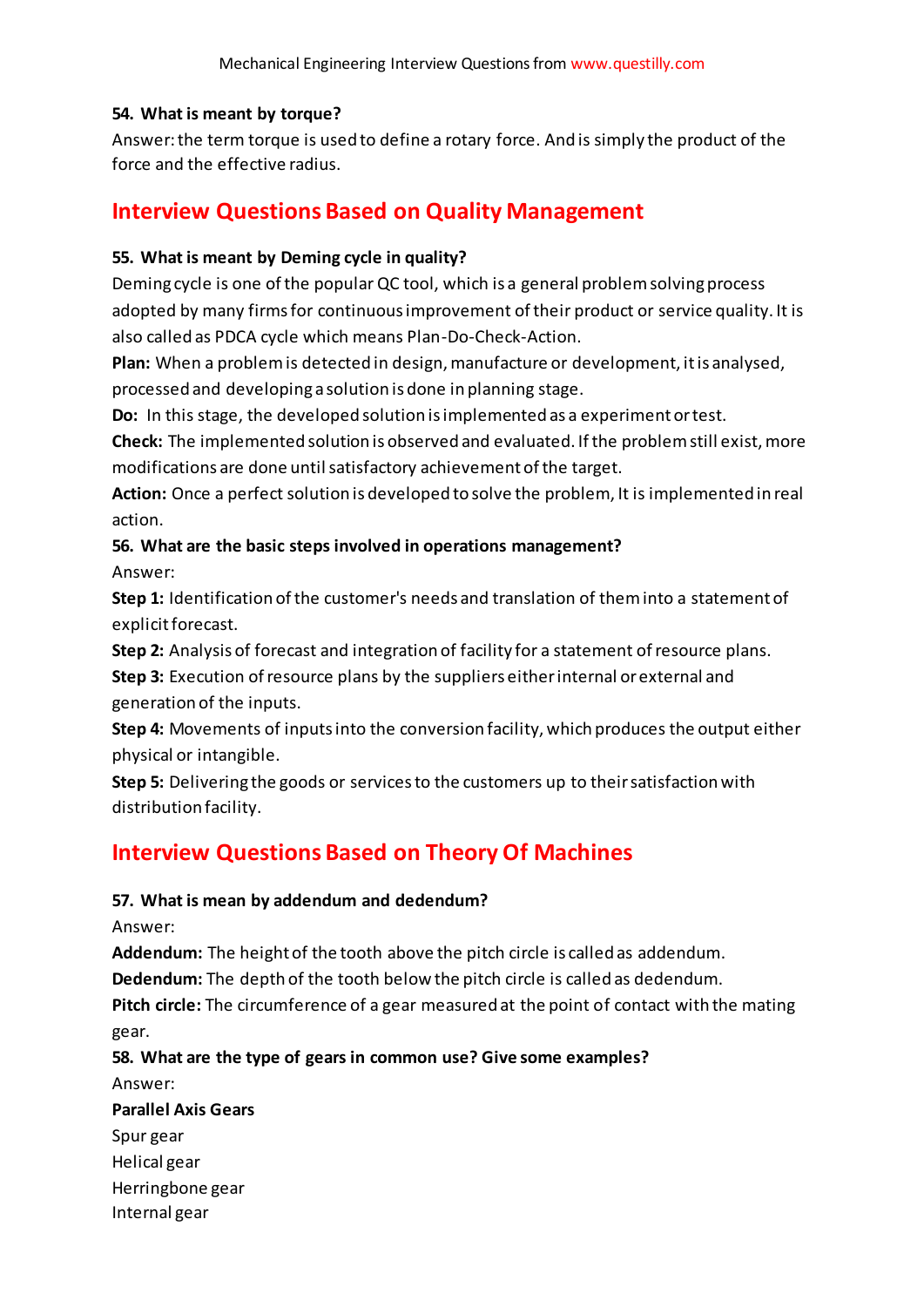## **54. What is meant by torque?**

Answer: the term torque is used to define a rotary force. And is simply the product of the force and the effective radius.

# **Interview Questions Based on Quality Management**

#### **55. What is meant by Deming cycle in quality?**

Deming cycle is one of the popular QC tool, which is a general problem solving process adopted by many firms for continuous improvement of their product or service quality. It is also called as PDCA cycle which means Plan-Do-Check-Action.

**Plan:** When a problem is detected in design, manufacture or development, it is analysed, processed and developing a solution is done in planning stage.

**Do:** In this stage, the developed solution is implemented as a experiment or test.

**Check:** The implemented solution is observed and evaluated. If the problem still exist, more modifications are done until satisfactory achievement of the target.

**Action:** Once a perfect solution is developed to solve the problem, It is implemented in real action.

# **56. What are the basic steps involved in operations management?** Answer:

**Step 1:** Identification of the customer's needs and translation of them into a statement of explicit forecast.

**Step 2:** Analysis of forecast and integration of facility for a statement of resource plans.

**Step 3:** Execution of resource plans by the suppliers either internal or external and generation of the inputs.

**Step 4:** Movements of inputs into the conversion facility, which produces the output either physical or intangible.

**Step 5:** Delivering the goods or services to the customers up to their satisfaction with distribution facility.

# **Interview Questions Based on Theory Of Machines**

# **57. What is mean by addendum and dedendum?**

Answer:

**Addendum:** The height of the tooth above the pitch circle is called as addendum.

**Dedendum:** The depth of the tooth below the pitch circle is called as dedendum.

**Pitch circle:** The circumference of a gear measured at the point of contact with the mating gear.

**58. What are the type of gears in common use? Give some examples?**

Answer:

**Parallel Axis Gears**

Spur gear Helical gear

Herringbone gear

Internal gear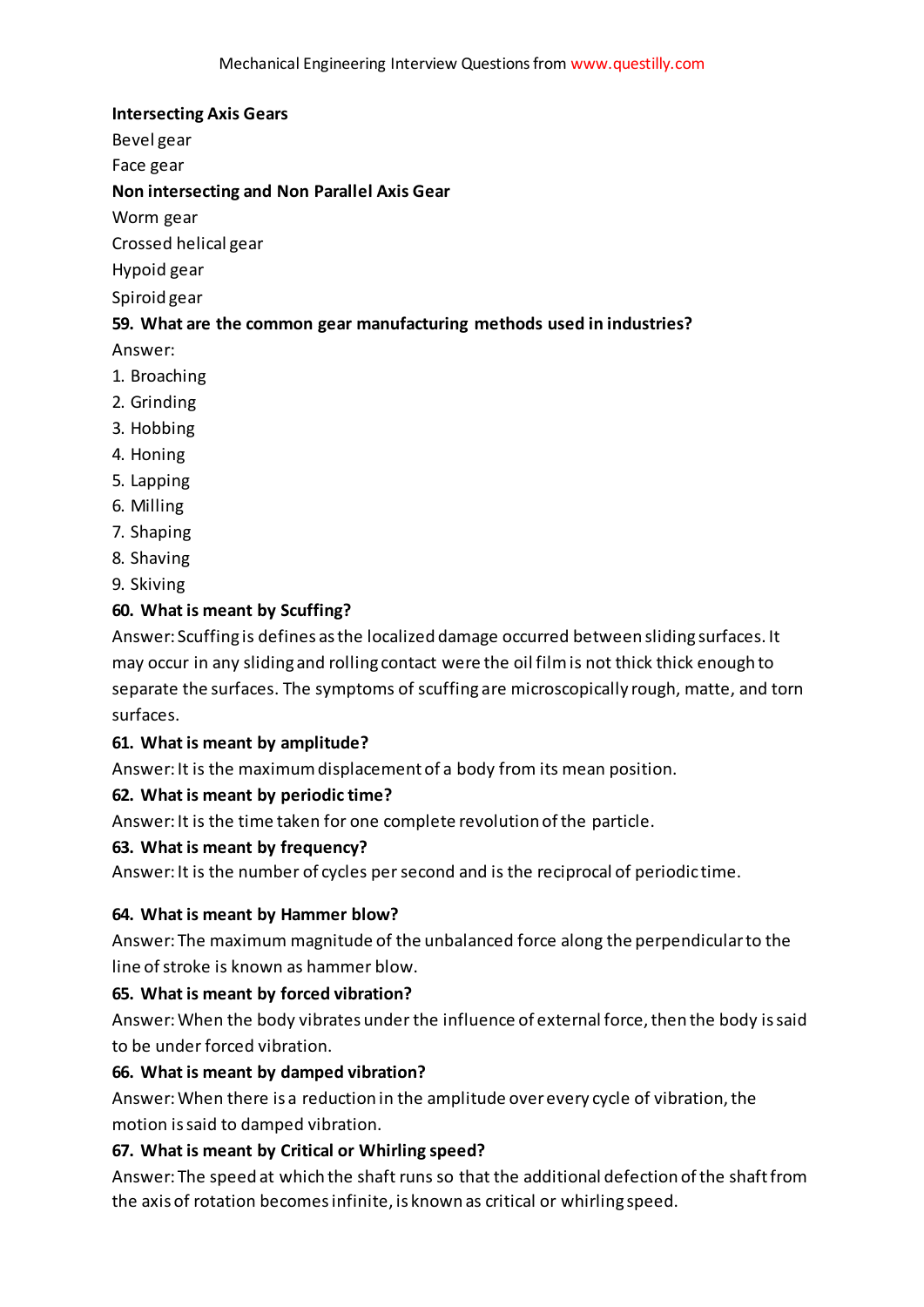#### **Intersecting Axis Gears**

Bevel gear

Face gear

#### **Non intersecting and Non Parallel Axis Gear**

Worm gear

Crossed helical gear

#### Hypoid gear

Spiroid gear

#### **59. What are the common gear manufacturing methods used in industries?**

Answer:

- 1. Broaching
- 2. Grinding
- 3. Hobbing
- 4. Honing
- 5. Lapping
- 6. Milling
- 7. Shaping
- 8. Shaving
- 9. Skiving

## **60. What is meant by Scuffing?**

Answer: Scuffing is defines as the localized damage occurred between sliding surfaces. It may occur in any sliding and rolling contact were the oil film is not thick thick enough to separate the surfaces. The symptoms of scuffing are microscopically rough, matte, and torn surfaces.

#### **61. What is meant by amplitude?**

Answer: It is the maximum displacement of a body from its mean position.

#### **62. What is meant by periodic time?**

Answer: It is the time taken for one complete revolution of the particle.

#### **63. What is meant by frequency?**

Answer: It is the number of cycles per second and is the reciprocal of periodic time.

#### **64. What is meant by Hammer blow?**

Answer: The maximum magnitude of the unbalanced force along the perpendicular to the line of stroke is known as hammer blow.

#### **65. What is meant by forced vibration?**

Answer: When the body vibrates under the influence of external force, then the body is said to be under forced vibration.

#### **66. What is meant by damped vibration?**

Answer: When there is a reduction in the amplitude over every cycle of vibration, the motion is said to damped vibration.

#### **67. What is meant by Critical or Whirling speed?**

Answer: The speed at which the shaft runs so that the additional defection of the shaft from the axis of rotation becomes infinite, is known as critical or whirling speed.